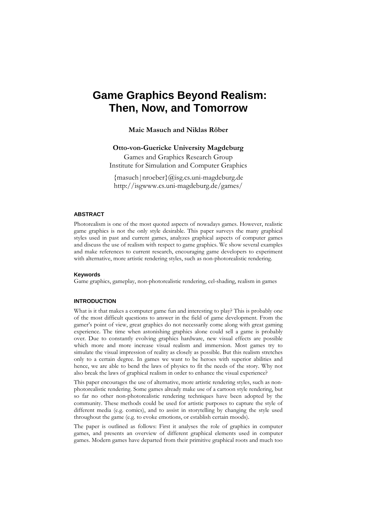# **Game Graphics Beyond Realism: Then, Now, and Tomorrow**

**Maic Masuch and Niklas Röber** 

# **Otto-von-Guericke University Magdeburg**

Games and Graphics Research Group Institute for Simulation and Computer Graphics

{masuch|nroeber}@isg.cs.uni-magdeburg.de http://isgwww.cs.uni-magdeburg.de/games/

# **ABSTRACT**

Photorealism is one of the most quoted aspects of nowadays games. However, realistic game graphics is not the only style desirable. This paper surveys the many graphical styles used in past and current games, analyzes graphical aspects of computer games and discuss the use of realism with respect to game graphics. We show several examples and make references to current research, encouraging game developers to experiment with alternative, more artistic rendering styles, such as non-photorealistic rendering.

# **Keywords**

Game graphics, gameplay, non-photorealistic rendering, cel-shading, realism in games

### **INTRODUCTION**

What is it that makes a computer game fun and interesting to play? This is probably one of the most difficult questions to answer in the field of game development. From the gamer's point of view, great graphics do not necessarily come along with great gaming experience. The time when astonishing graphics alone could sell a game is probably over. Due to constantly evolving graphics hardware, new visual effects are possible which more and more increase visual realism and immersion. Most games try to simulate the visual impression of reality as closely as possible. But this realism stretches only to a certain degree. In games we want to be heroes with superior abilities and hence, we are able to bend the laws of physics to fit the needs of the story. Why not also break the laws of graphical realism in order to enhance the visual experience?

This paper encourages the use of alternative, more artistic rendering styles, such as nonphotorealistic rendering. Some games already make use of a cartoon style rendering, but so far no other non-photorealistic rendering techniques have been adopted by the community. These methods could be used for artistic purposes to capture the style of different media (e.g. comics), and to assist in storytelling by changing the style used throughout the game (e.g. to evoke emotions, or establish certain moods).

The paper is outlined as follows: First it analyses the role of graphics in computer games, and presents an overview of different graphical elements used in computer games. Modern games have departed from their primitive graphical roots and much too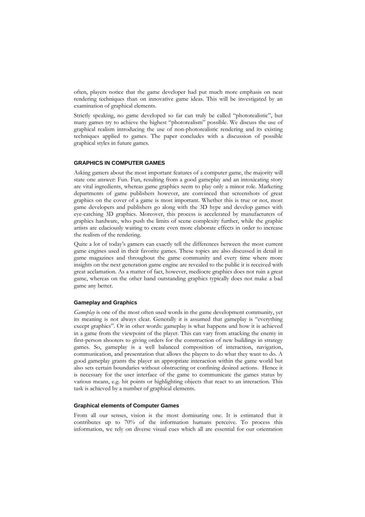often, players notice that the game developer had put much more emphasis on neat rendering techniques than on innovative game ideas. This will be investigated by an examination of graphical elements.

Strictly speaking, no game developed so far can truly be called "photorealistic", but many games try to achieve the highest "photorealism" possible. We discuss the use of graphical realism introducing the use of non-photorealistic rendering and its existing techniques applied to games. The paper concludes with a discussion of possible graphical styles in future games.

# **GRAPHICS IN COMPUTER GAMES**

Asking gamers about the most important features of a computer game, the majority will state one answer: Fun. Fun, resulting from a good gameplay and an intoxicating story are vital ingredients, whereas game graphics seem to play only a minor role. Marketing departments of game publishers however, are convinced that screenshots of great graphics on the cover of a game is most important. Whether this is true or not, most game developers and publishers go along with the 3D hype and develop games with eye-catching 3D graphics. Moreover, this process is accelerated by manufacturers of graphics hardware, who push the limits of scene complexity further, while the graphic artists are edaciously waiting to create even more elaborate effects in order to increase the realism of the rendering.

Quite a lot of today's gamers can exactly tell the differences between the most current game engines used in their favorite games. These topics are also discussed in detail in game magazines and throughout the game community and every time where more insights on the next generation game engine are revealed to the public it is received with great acclamation. As a matter of fact, however, mediocre graphics does not ruin a great game, whereas on the other hand outstanding graphics typically does not make a bad game any better.

#### **Gameplay and Graphics**

*Gameplay* is one of the most often used words in the game development community, yet its meaning is not always clear. Generally it is assumed that gameplay is "everything except graphics". Or in other words: gameplay is what happens and how it is achieved in a game from the viewpoint of the player. This can vary from attacking the enemy in first-person shooters to giving orders for the construction of new buildings in strategy games. So, gameplay is a well balanced composition of interaction, navigation, communication, and presentation that allows the players to do what they want to do. A good gameplay grants the player an appropriate interaction within the game world but also sets certain boundaries without obstructing or confining desired actions. Hence it is necessary for the user interface of the game to communicate the games status by various means, e.g. hit points or highlighting objects that react to an interaction. This task is achieved by a number of graphical elements.

#### **Graphical elements of Computer Games**

From all our senses, vision is the most dominating one. It is estimated that it contributes up to 70% of the information humans perceive. To process this information, we rely on diverse visual cues which all are essential for our orientation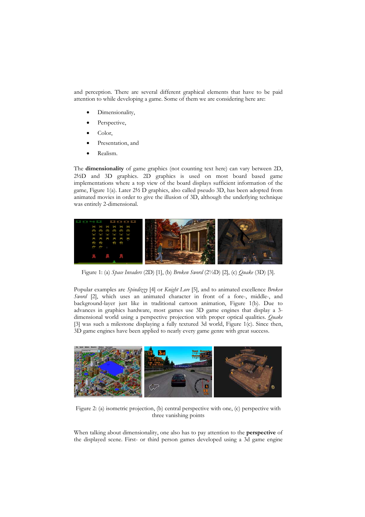and perception. There are several different graphical elements that have to be paid attention to while developing a game. Some of them we are considering here are:

- Dimensionality,
- Perspective,
- Color,
- Presentation, and
- Realism.

The **dimensionality** of game graphics (not counting text here) can vary between 2D, 2½D and 3D graphics. 2D graphics is used on most board based game implementations where a top view of the board displays sufficient information of the game, Figure 1(a). Later 2½ D graphics, also called pseudo 3D, has been adopted from animated movies in order to give the illusion of 3D, although the underlying technique was entirely 2-dimensional.



Figure 1: (a) *Space Invaders* (2D) [1], (b) *Broken Sword* (2½D) [2], (c) *Quake* (3D) [3].

Popular examples are *Spindizzy* [4] or *Knight Lore* [5], and to animated excellence *Broken Sword* [2], which uses an animated character in front of a fore-, middle-, and background-layer just like in traditional cartoon animation, Figure 1(b). Due to advances in graphics hardware, most games use 3D game engines that display a 3 dimensional world using a perspective projection with proper optical qualities. *Quake* [3] was such a milestone displaying a fully textured 3d world, Figure 1(c). Since then, 3D game engines have been applied to nearly every game genre with great success.



Figure 2: (a) isometric projection, (b) central perspective with one, (c) perspective with three vanishing points

When talking about dimensionality, one also has to pay attention to the **perspective** of the displayed scene. First- or third person games developed using a 3d game engine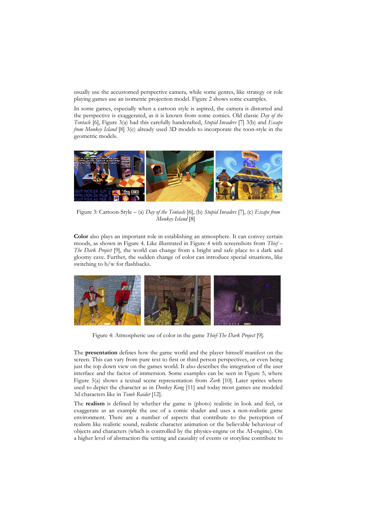usually use the accustomed perspective camera, while some genres, like strategy or role playing games use an isometric projection model. Figure 2 shows some examples.

In some games, especially when a cartoon style is aspired, the camera is distorted and the perspective is exaggerated, as it is known from some comics. Old classic *Day of the Tentacle* [6], Figure 3(a) had this carefully handcrafted, *Stupid Invaders* [7] 3(b) and *Escape from Monkey Island* [8] 3(c) already used 3D models to incorporate the toon-style in the geometric models.



Figure 3: Cartoon-Style – (a) *Day of the Tentacle* [6], (b) *Stupid Invaders* [7], (c) *Escape from Monkey Island* [8]

**Color** also plays an important role in establishing an atmosphere. It can convey certain moods, as shown in Figure 4. Like illustrated in Figure 4 with screenshots from *Thief – The Dark Project* [9], the world can change from a bright and safe place to a dark and gloomy cave. Further, the sudden change of color can introduce special situations, like switching to b/w for flashbacks.



Figure 4: Atmospheric use of color in the game *Thief-The Dark Project* [9]*.* 

The **presentation** defines how the game world and the player himself manifest on the screen. This can vary from pure text to first or third person perspectives, or even being just the top down view on the games world. It also describes the integration of the user interface and the factor of immersion. Some examples can be seen in Figure 5, where Figure 5(a) shows a textual scene representation from *Zork* [10]. Later sprites where used to depict the character as in *Donkey Kong* [11] and today most games use modeled 3d characters like in *Tomb Raider* [12].

The **realism** is defined by whether the game is (photo) realistic in look and feel, or exaggerate as an example the use of a comic shader and uses a non-realistic game environment. There are a number of aspects that contribute to the perception of realism like realistic sound, realistic character animation or the believable behaviour of objects and characters (which is controlled by the physics-engine or the AI-engine). On a higher level of abstraction the setting and causality of events or storyline contribute to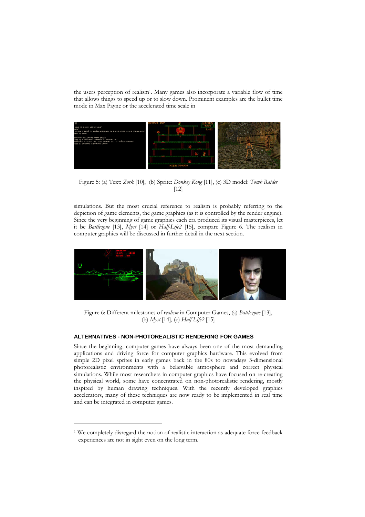the users perception of realis[m1.](#page-4-0) Many games also incorporate a variable flow of time that allows things to speed up or to slow down. Prominent examples are the bullet time mode in Max Payne or the accelerated time scale in



Figure 5: (a) Text: *Zork* [10], (b) Sprite: *Donkey Kong* [11], (c) 3D model: *Tomb Raider* [12]

simulations. But the most crucial reference to realism is probably referring to the depiction of game elements, the game graphics (as it is controlled by the render engine). Since the very beginning of game graphics each era produced its visual masterpieces, let it be *Battlezone* [13], *Myst* [14] or *Half-Life2* [15], compare Figure 6. The realism in computer graphics will be discussed in further detail in the next section.



Figure 6: Different milestones of r*ealism* in Computer Games, (a) *Battlezone* [13], (b) *Myst* [14], (c) *Half-Life2* [15]

# **ALTERNATIVES - NON-PHOTOREALISTIC RENDERING FOR GAMES**

Since the beginning, computer games have always been one of the most demanding applications and driving force for computer graphics hardware. This evolved from simple 2D pixel sprites in early games back in the 80s to nowadays 3-dimensional photorealistic environments with a believable atmosphere and correct physical simulations. While most researchers in computer graphics have focused on re-creating the physical world, some have concentrated on non-photorealistic rendering, mostly inspired by human drawing techniques. With the recently developed graphics accelerators, many of these techniques are now ready to be implemented in real time and can be integrated in computer games.

-

<span id="page-4-0"></span><sup>&</sup>lt;sup>1</sup> We completely disregard the notion of realistic interaction as adequate force-feedback experiences are not in sight even on the long term.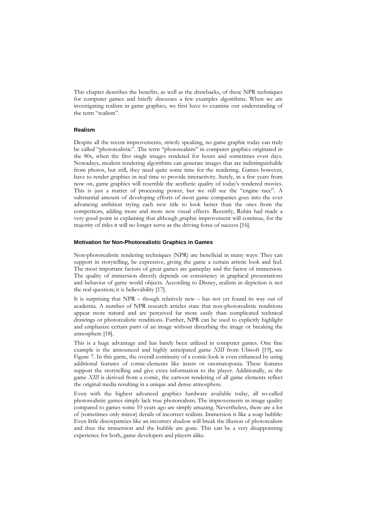This chapter describes the benefits, as well as the drawbacks, of these NPR techniques for computer games and briefly discusses a few examples algorithms. When we are investigating realism in game graphics, we first have to examine our understanding of the term "realism".

## **Realism**

Despite all the recent improvements, strictly speaking, no game graphic today can truly be called "photorealistic". The term "photorealism" in computer graphics originated in the 80s, when the first single images rendered for hours and sometimes even days. Nowadays, modern rendering algorithms can generate images that are [indistinguishable](http://dict.leo.org/?p=/37m..&search=indistinguishable) from photos, but still, they need quite some time for the rendering. Games however, have to render graphics in real time to provide interactivity. Surely, in a few years from now on, game graphics will resemble the aesthetic quality of today's rendered movies. This is just a matter of processing power, but we still see the "engine race". A substantial amount of developing efforts of most game companies goes into the ever advancing ambition trying each new title to look better than the ones from the competitors, adding more and more new visual effects. Recently, Rubin had made a very good point in explaining that although graphic improvement will continue, for the majority of titles it will no longer serve as the driving force of success [16].

#### **Motivation for Non-Photorealistic Graphics in Games**

Non-photorealistic rendering techniques (NPR) are beneficial in many ways: They can support in storytelling, be expressive, giving the game a certain artistic look and feel. The most important factors of great games are gameplay and the factor of immersion. The quality of immersion directly depends on consistency in graphical presentations and behavior of game world objects. According to Disney, realism in depiction is not the real question; it is believability [17].

It is surprising that NPR – though relatively new – has not yet found its way out of academia. A number of NPR research articles state that non-photorealistic renditions appear more natural and are perceived far more easily than complicated technical drawings or photorealistic renditions. Further, NPR can be used to explicitly highlight and emphasize certain parts of an image without disturbing the image or breaking the atmosphere [18].

This is a huge advantage and has barely been utilized in computer games. One fine example is the announced and highly anticipated game *XIII* from Ubisoft [19], see Figure 7. In this game, the overall continuity of a comic-look is even enhanced by using additional features of comic-elements like insets or [onomatopoeia](http://dict.leo.org/?p=/37m..&search=onomatopoeia). These features support the storytelling and give extra information to the player. Additionally, as the game *XIII* is derived from a comic, the cartoon rendering of all game elements reflect the original media resulting in a unique and dense atmosphere.

Even with the highest advanced graphics hardware available today, all so-called photorealistic games simply lack true photorealism. The improvements in image quality compared to games some 10 years ago are simply amazing. Nevertheless, there are a lot of (sometimes only minor) details of incorrect realism. Immersion is like a soap bubble: Even little discrepancies like an incorrect shadow will break the illusion of photorealism and thus the immersion and the bubble are gone. This can be a very disappointing experience for both, game developers and players alike.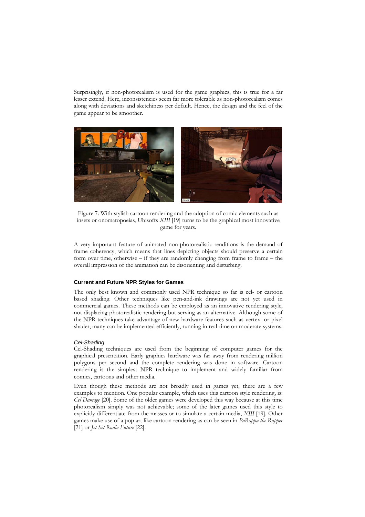Surprisingly, if non-photorealism is used for the game graphics, this is true for a far lesser extend. Here, inconsistencies seem far more tolerable as non-photorealism comes along with deviations and sketchiness per default. Hence, the design and the feel of the game appear to be smoother.



Figure 7: With stylish cartoon rendering and the adoption of comic elements such as insets or [onomatopoeia](http://dict.leo.org/?p=/37m..&search=onomatopoeia)s, Ubisofts *XIII* [19] turns to be the graphical most innovative game for years.

A very important feature of animated non-photorealistic renditions is the demand of frame coherency, which means that lines depicting objects should preserve a certain form over time, otherwise – if they are randomly changing from frame to frame – the overall impression of the animation can be disorienting and disturbing.

#### **Current and Future NPR Styles for Games**

The only best known and commonly used NPR technique so far is cel- or cartoon based shading. Other techniques like pen-and-ink drawings are not yet used in commercial games. These methods can be employed as an innovative rendering style, not displacing photorealistic rendering but serving as an alternative. Although some of the NPR techniques take advantage of new hardware features such as vertex- or pixel shader, many can be implemented efficiently, running in real-time on moderate systems.

#### *Cel-Shading*

Cel-Shading techniques are used from the beginning of computer games for the graphical presentation. Early graphics hardware was far away from rendering million polygons per second and the complete rendering was done in software. Cartoon rendering is the simplest NPR technique to implement and widely familiar from comics, cartoons and other media.

Even though these methods are not broadly used in games yet, there are a few examples to mention. One popular example, which uses this cartoon style rendering, is: *Cel Damage* [20]. Some of the older games were developed this way because at this time photorealism simply was not achievable; some of the later games used this style to explicitly differentiate from the masses or to simulate a certain media, *XIII* [19]. Other games make use of a pop art like cartoon rendering as can be seen in *PaRappa the Rapper* [21] or *Jet Set Radio Future* [22].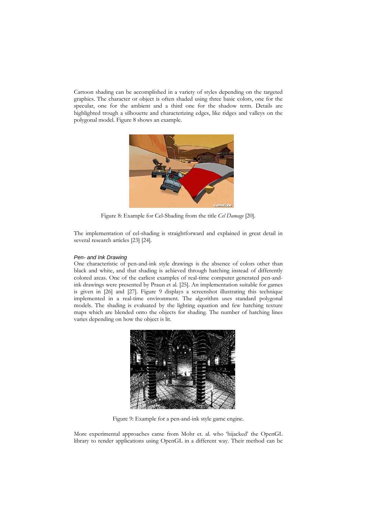Cartoon shading can be accomplished in a variety of styles depending on the targeted graphics. The character or object is often shaded using three basic colors, one for the specular, one for the ambient and a third one for the shadow term. Details are highlighted trough a silhouette and characterizing edges, like ridges and valleys on the polygonal model. Figure 8 shows an example.



Figure 8: Example for Cel-Shading from the title *Cel Damage* [20].

The implementation of cel-shading is straightforward and explained in great detail in several research articles [23] [24].

#### *Pen- and Ink Drawing*

One characteristic of pen-and-ink style drawings is the absence of colors other than black and white, and that shading is achieved through hatching instead of differently colored areas. One of the earliest examples of real-time computer generated pen-andink drawings were presented by Praun et al. [25]. An implementation suitable for games is given in [26] and [27]. Figure 9 displays a screenshot illustrating this technique implemented in a real-time environment. The algorithm uses standard polygonal models. The shading is evaluated by the lighting equation and few hatching texture maps which are blended onto the objects for shading. The number of hatching lines varies depending on how the object is lit.



Figure 9: Example for a pen-and-ink style game engine.

More experimental approaches came from Mohr et. al. who 'hijacked' the OpenGL library to render applications using OpenGL in a different way. Their method can be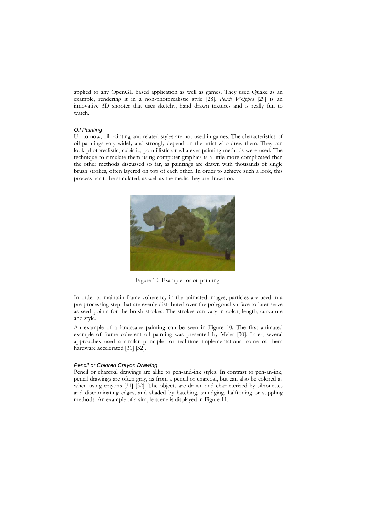applied to any OpenGL based application as well as games. They used Quake as an example, rendering it in a non-photorealistic style [28]. *Pencil Whipped* [29] is an innovative 3D shooter that uses sketchy, hand drawn textures and is really fun to watch.

#### *Oil Painting*

Up to now, oil painting and related styles are not used in games. The characteristics of oil paintings vary widely and strongly depend on the artist who drew them. They can look photorealistic, cubistic, pointillistic or whatever painting methods were used. The technique to simulate them using computer graphics is a little more complicated than the other methods discussed so far, as paintings are drawn with thousands of single brush strokes, often layered on top of each other. In order to achieve such a look, this process has to be simulated, as well as the media they are drawn on.



Figure 10: Example for oil painting.

In order to maintain frame coherency in the animated images, particles are used in a pre-processing step that are evenly distributed over the polygonal surface to later serve as seed points for the brush strokes. The strokes can vary in color, length, curvature and style.

An example of a landscape painting can be seen in Figure 10. The first animated example of frame coherent oil painting was presented by Meier [30]. Later, several approaches used a similar principle for real-time implementations, some of them hardware accelerated [31] [32].

## *Pencil or Colored Crayon Drawing*

Pencil or charcoal drawings are alike to pen-and-ink styles. In contrast to pen-an-ink, pencil drawings are often gray, as from a pencil or charcoal, but can also be colored as when using crayons [31] [32]. The objects are drawn and characterized by silhouettes and discriminating edges, and shaded by hatching, smudging, halftoning or stippling methods. An example of a simple scene is displayed in Figure 11.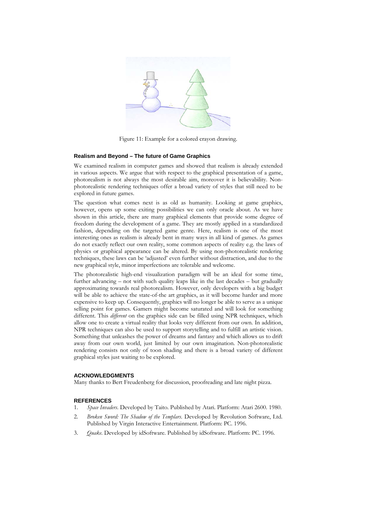

Figure 11: Example for a colored crayon drawing.

#### **Realism and Beyond – The future of Game Graphics**

We examined realism in computer games and showed that realism is already extended in various aspects. We argue that with respect to the graphical presentation of a game, photorealism is not always the most desirable aim, moreover it is believability. Nonphotorealistic rendering techniques offer a broad variety of styles that still need to be explored in future games.

The question what comes next is as old as humanity. Looking at game graphics, however, opens up some exiting possibilities we can only oracle about. As we have shown in this article, there are many graphical elements that provide some degree of freedom during the development of a game. They are mostly applied in a standardized fashion, depending on the targeted game genre. Here, realism is one of the most interesting ones as realism is already bent in many ways in all kind of games. As games do not exactly reflect our own reality, some common aspects of reality e.g. the laws of physics or graphical appearance can be altered. By using non-photorealistic rendering techniques, these laws can be 'adjusted' even further without distraction, and due to the new graphical style, minor imperfections are tolerable and welcome.

The photorealistic high-end visualization paradigm will be an ideal for some time, further advancing – not with such quality leaps like in the last decades – but gradually approximating towards real photorealism. However, only developers with a big budget will be able to achieve the state-of-the art graphics, as it will become harder and more expensive to keep up. Consequently, graphics will no longer be able to serve as a unique selling point for games. Gamers might become saturated and will look for something different. This *different* on the graphics side can be filled using NPR techniques, which allow one to create a virtual reality that looks very different from our own. In addition, NPR techniques can also be used to support storytelling and to fulfill an artistic vision. Something that unleashes the power of dreams and fantasy and which allows us to drift away from our own world, just limited by our own imagination. Non-photorealistic rendering consists not only of toon shading and there is a broad variety of different graphical styles just waiting to be explored.

#### **ACKNOWLEDGMENTS**

Many thanks to Bert Freudenberg for discussion, proofreading and late night pizza.

#### **REFERENCES**

- 1. *Space Invaders*. Developed by Taito. Published by Atari. Platform: Atari 2600. 1980.
- 2. *Broken Sword: The Shadow of the Templars*. Developed by Revolution Software, Ltd. Published by Virgin Interactive Entertainment. Platform: PC. 1996.
- 3. *Quake*. Developed by idSoftware. Published by idSoftware. Platform: PC. 1996.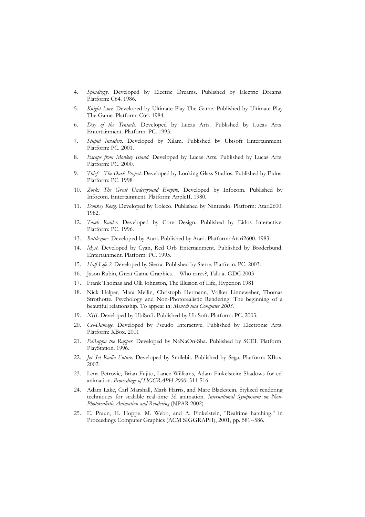- 4. *Spindizzy*. Developed by Electric Dreams. Published by Electric Dreams. Platform: C64. 1986.
- 5. *Knight Lore*. Developed by Ultimate Play The Game. Published by Ultimate Play The Game. Platform: C64. 1984.
- 6. *Day of the Tentacle*. Developed by Lucas Arts. Published by Lucas Arts. Entertainment. Platform: PC. 1993.
- 7. *Stupid Invaders*. Developed by Xilam. Published by Ubisoft Entertainment. Platform: PC. 2001.
- 8. *Escape from Monkey Island*. Developed by Lucas Arts. Published by Lucas Arts. Platform: PC. 2000.
- 9. *Thief The Dark Project.* Developed by Looking Glass Studios. Published by Eidos. Platform: PC. 1998
- 10. *Zork: The Great Underground Empire*. Developed by Infocom. Published by Infocom. Entertainment. Platform: AppleII. 1980.
- 11. *Donkey Kong*. Developed by Coleco. Published by Nintendo. Platform: Atari2600. 1982.
- 12. *Tomb Raider*. Developed by Core Design. Published by Eidos Interactive. Platform: PC. 1996.
- 13. *Battlezone*. Developed by Atari. Published by Atari. Platform: Atari2600. 1983.
- 14. *Myst*. Developed by Cyan, Red Orb Entertainment. Published by Brøderbund. Entertainment. Platform: PC. 1995.
- 15. *Half-Life 2*. Developed by Sierra. Published by Sierre. Platform: PC. 2003.
- 16. Jason Rubin, Great Game Graphics… Who cares?, Talk at GDC 2003
- 17. Frank Thomas and Olli Johnston, The Illusion of Life, Hyperion 1981
- 18. Nick Halper, Mara Mellin, Christoph Hermann, Volker Linneweber, Thomas Strothotte. Psychology and Non-Photorealistic Rendering: The beginning of a beautiful relationship. To appear in: *Mensch und Computer 2003*.
- 19. *XIII*. Developed by UbiSoft. Published by UbiSoft. Platform: PC. 2003.
- 20. *Cel-Damage.* Developed by Pseudo Interactive. Published by Electronic Arts. Platform: XBox. 2001
- 21. *PaRappa the Rapper*. Developed by NaNaOn-Sha. Published by SCEI. Platform: PlayStation. 1996.
- 22. *Jet Set Radio Future*. Developed by Smilebit. Published by Sega. Platform: XBox. 2002.
- 23. Lena Petrovic, Brian Fujito, Lance Williams, Adam Finkelstein: Shadows for cel animation. *Proceedings of SIGGRAPH 2000*: 511-516
- 24. Adam Lake, Carl Marshall, Mark Harris, and Marc Blackstein. Stylized rendering techniques for scalable real-time 3d animation. *International Symposium on Non-Photorealistic Animation and Rendering* (NPAR 2002)
- 25. E. Praun, H. Hoppe, M. Webb, and A. Finkelstein, "Realtime hatching," in Proceedings Computer Graphics (ACM SIGGRAPH), 2001, pp. 581--586.